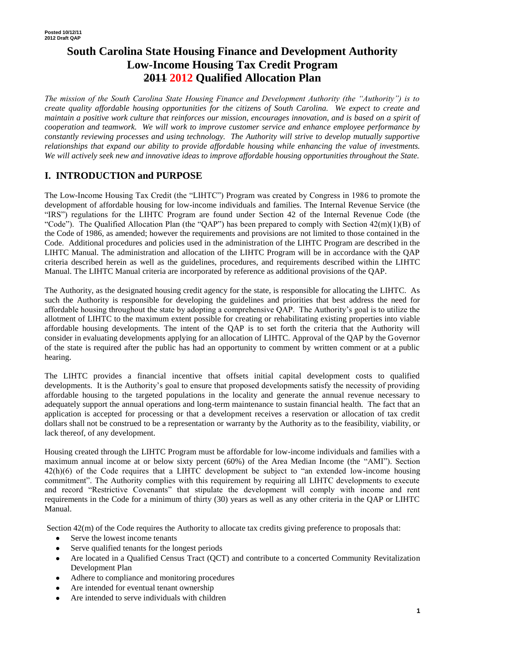# **South Carolina State Housing Finance and Development Authority Low-Income Housing Tax Credit Program 2011 2012 Qualified Allocation Plan**

*The mission of the South Carolina State Housing Finance and Development Authority (the "Authority") is to create quality affordable housing opportunities for the citizens of South Carolina. We expect to create and maintain a positive work culture that reinforces our mission, encourages innovation, and is based on a spirit of cooperation and teamwork. We will work to improve customer service and enhance employee performance by constantly reviewing processes and using technology. The Authority will strive to develop mutually supportive relationships that expand our ability to provide affordable housing while enhancing the value of investments. We will actively seek new and innovative ideas to improve affordable housing opportunities throughout the State.*

## **I. INTRODUCTION and PURPOSE**

The Low-Income Housing Tax Credit (the "LIHTC") Program was created by Congress in 1986 to promote the development of affordable housing for low-income individuals and families. The Internal Revenue Service (the "IRS") regulations for the LIHTC Program are found under Section 42 of the Internal Revenue Code (the "Code"). The Qualified Allocation Plan (the "QAP") has been prepared to comply with Section  $42(m)(1)(B)$  of the Code of 1986, as amended; however the requirements and provisions are not limited to those contained in the Code. Additional procedures and policies used in the administration of the LIHTC Program are described in the LIHTC Manual. The administration and allocation of the LIHTC Program will be in accordance with the QAP criteria described herein as well as the guidelines, procedures, and requirements described within the LIHTC Manual. The LIHTC Manual criteria are incorporated by reference as additional provisions of the QAP.

The Authority, as the designated housing credit agency for the state, is responsible for allocating the LIHTC. As such the Authority is responsible for developing the guidelines and priorities that best address the need for affordable housing throughout the state by adopting a comprehensive QAP. The Authority's goal is to utilize the allotment of LIHTC to the maximum extent possible for creating or rehabilitating existing properties into viable affordable housing developments. The intent of the QAP is to set forth the criteria that the Authority will consider in evaluating developments applying for an allocation of LIHTC. Approval of the QAP by the Governor of the state is required after the public has had an opportunity to comment by written comment or at a public hearing.

The LIHTC provides a financial incentive that offsets initial capital development costs to qualified developments. It is the Authority's goal to ensure that proposed developments satisfy the necessity of providing affordable housing to the targeted populations in the locality and generate the annual revenue necessary to adequately support the annual operations and long-term maintenance to sustain financial health. The fact that an application is accepted for processing or that a development receives a reservation or allocation of tax credit dollars shall not be construed to be a representation or warranty by the Authority as to the feasibility, viability, or lack thereof, of any development.

Housing created through the LIHTC Program must be affordable for low-income individuals and families with a maximum annual income at or below sixty percent (60%) of the Area Median Income (the "AMI"). Section 42(h)(6) of the Code requires that a LIHTC development be subject to "an extended low-income housing commitment". The Authority complies with this requirement by requiring all LIHTC developments to execute and record "Restrictive Covenants" that stipulate the development will comply with income and rent requirements in the Code for a minimum of thirty (30) years as well as any other criteria in the QAP or LIHTC Manual.

Section  $42(m)$  of the Code requires the Authority to allocate tax credits giving preference to proposals that:

- Serve the lowest income tenants
- Serve qualified tenants for the longest periods
- Are located in a Qualified Census Tract (QCT) and contribute to a concerted Community Revitalization Development Plan
- Adhere to compliance and monitoring procedures
- Are intended for eventual tenant ownership
- Are intended to serve individuals with children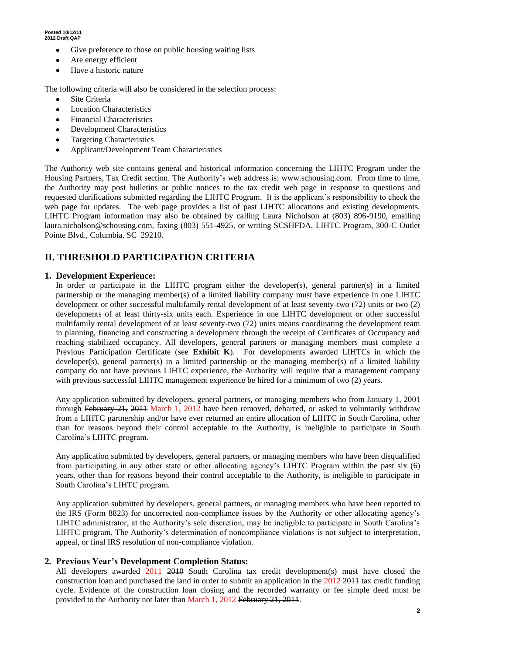- Give preference to those on public housing waiting lists
- Are energy efficient
- Have a historic nature

The following criteria will also be considered in the selection process:

- Site Criteria
- Location Characteristics
- Financial Characteristics
- Development Characteristics
- Targeting Characteristics
- Applicant/Development Team Characteristics

The Authority web site contains general and historical information concerning the LIHTC Program under the Housing Partners, Tax Credit section. The Authority's web address is: www.schousing.com. From time to time, the Authority may post bulletins or public notices to the tax credit web page in response to questions and requested clarifications submitted regarding the LIHTC Program. It is the applicant's responsibility to check the web page for updates. The web page provides a list of past LIHTC allocations and existing developments. LIHTC Program information may also be obtained by calling Laura Nicholson at (803) 896-9190, emailing laura.nicholson@schousing.com, faxing (803) 551-4925, or writing SCSHFDA, LIHTC Program, 300-C Outlet Pointe Blvd., Columbia, SC 29210.

## **II. THRESHOLD PARTICIPATION CRITERIA**

#### **1. Development Experience:**

In order to participate in the LIHTC program either the developer(s), general partner(s) in a limited partnership or the managing member(s) of a limited liability company must have experience in one LIHTC development or other successful multifamily rental development of at least seventy-two (72) units or two (2) developments of at least thirty-six units each. Experience in one LIHTC development or other successful multifamily rental development of at least seventy-two (72) units means coordinating the development team in planning, financing and constructing a development through the receipt of Certificates of Occupancy and reaching stabilized occupancy. All developers, general partners or managing members must complete a Previous Participation Certificate (see **Exhibit K**). For developments awarded LIHTCs in which the developer(s), general partner(s) in a limited partnership or the managing member(s) of a limited liability company do not have previous LIHTC experience, the Authority will require that a management company with previous successful LIHTC management experience be hired for a minimum of two (2) years.

Any application submitted by developers, general partners, or managing members who from January 1, 2001 through February 21, 2011 March 1, 2012 have been removed, debarred, or asked to voluntarily withdraw from a LIHTC partnership and/or have ever returned an entire allocation of LIHTC in South Carolina, other than for reasons beyond their control acceptable to the Authority, is ineligible to participate in South Carolina's LIHTC program.

Any application submitted by developers, general partners, or managing members who have been disqualified from participating in any other state or other allocating agency's LIHTC Program within the past six (6) years, other than for reasons beyond their control acceptable to the Authority, is ineligible to participate in South Carolina's LIHTC program.

Any application submitted by developers, general partners, or managing members who have been reported to the IRS (Form 8823) for uncorrected non-compliance issues by the Authority or other allocating agency's LIHTC administrator, at the Authority's sole discretion, may be ineligible to participate in South Carolina's LIHTC program. The Authority's determination of noncompliance violations is not subject to interpretation, appeal, or final IRS resolution of non-compliance violation.

### **2. Previous Year's Development Completion Status:**

All developers awarded  $2011$   $2010$  South Carolina tax credit development(s) must have closed the construction loan and purchased the land in order to submit an application in the 2012 2011 tax credit funding cycle. Evidence of the construction loan closing and the recorded warranty or fee simple deed must be provided to the Authority not later than March 1, 2012 February 21, 2011.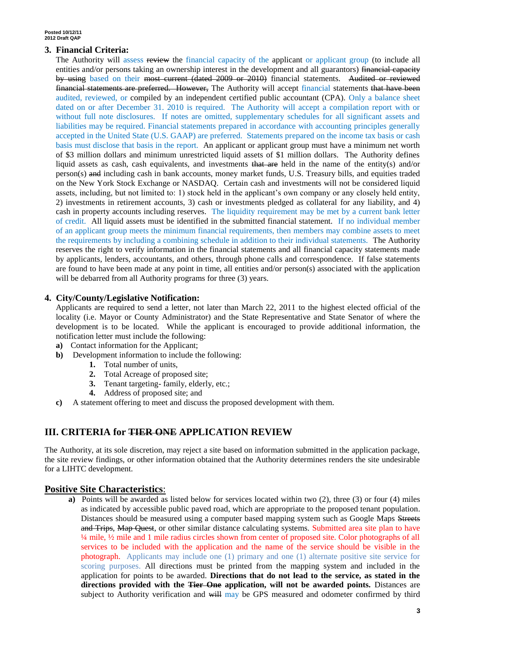#### **3. Financial Criteria:**

The Authority will assess review the financial capacity of the applicant or applicant group (to include all entities and/or persons taking an ownership interest in the development and all guarantors) financial capacity by using based on their most current (dated 2009 or 2010) financial statements. Audited or reviewed financial statements are preferred. However, The Authority will accept financial statements that have been audited, reviewed, or compiled by an independent certified public accountant (CPA). Only a balance sheet dated on or after December 31. 2010 is required. The Authority will accept a compilation report with or without full note disclosures. If notes are omitted, supplementary schedules for all significant assets and liabilities may be required. Financial statements prepared in accordance with accounting principles generally accepted in the United State (U.S. GAAP) are preferred. Statements prepared on the income tax basis or cash basis must disclose that basis in the report. An applicant or applicant group must have a minimum net worth of \$3 million dollars and minimum unrestricted liquid assets of \$1 million dollars. The Authority defines liquid assets as cash, cash equivalents, and investments that are held in the name of the entity(s) and/or person(s) and including cash in bank accounts, money market funds, U.S. Treasury bills, and equities traded on the New York Stock Exchange or NASDAQ. Certain cash and investments will not be considered liquid assets, including, but not limited to: 1) stock held in the applicant's own company or any closely held entity, 2) investments in retirement accounts, 3) cash or investments pledged as collateral for any liability, and 4) cash in property accounts including reserves. The liquidity requirement may be met by a current bank letter of credit. All liquid assets must be identified in the submitted financial statement. If no individual member of an applicant group meets the minimum financial requirements, then members may combine assets to meet the requirements by including a combining schedule in addition to their individual statements. The Authority reserves the right to verify information in the financial statements and all financial capacity statements made by applicants, lenders, accountants, and others, through phone calls and correspondence. If false statements are found to have been made at any point in time, all entities and/or person(s) associated with the application will be debarred from all Authority programs for three (3) years.

#### **4. City/County/Legislative Notification:**

Applicants are required to send a letter, not later than March 22, 2011 to the highest elected official of the locality (i.e. Mayor or County Administrator) and the State Representative and State Senator of where the development is to be located. While the applicant is encouraged to provide additional information, the notification letter must include the following:

- **a)** Contact information for the Applicant;
- **b)** Development information to include the following:
	- **1.** Total number of units,
	- **2.** Total Acreage of proposed site;
	- **3.** Tenant targeting- family, elderly, etc.;
	- **4.** Address of proposed site; and
- **c)** A statement offering to meet and discuss the proposed development with them.

### **III. CRITERIA for TIER ONE APPLICATION REVIEW**

The Authority, at its sole discretion, may reject a site based on information submitted in the application package, the site review findings, or other information obtained that the Authority determines renders the site undesirable for a LIHTC development.

#### **Positive Site Characteristics**:

**a)** Points will be awarded as listed below for services located within two (2), three (3) or four (4) miles as indicated by accessible public paved road, which are appropriate to the proposed tenant population. Distances should be measured using a computer based mapping system such as Google Maps Streets and Trips, Map Quest, or other similar distance calculating systems. Submitted area site plan to have ¼ mile, ½ mile and 1 mile radius circles shown from center of proposed site. Color photographs of all services to be included with the application and the name of the service should be visible in the photograph. Applicants may include one (1) primary and one (1) alternate positive site service for scoring purposes. All directions must be printed from the mapping system and included in the application for points to be awarded. **Directions that do not lead to the service, as stated in the directions provided with the Tier One application, will not be awarded points.** Distances are subject to Authority verification and will may be GPS measured and odometer confirmed by third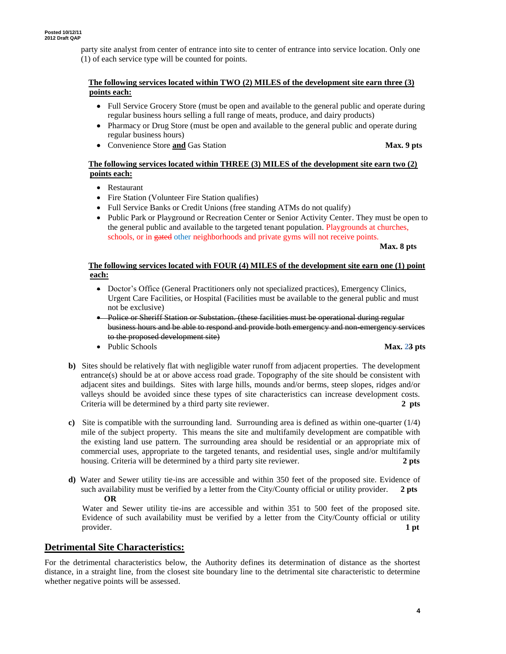party site analyst from center of entrance into site to center of entrance into service location. Only one (1) of each service type will be counted for points.

#### **The following services located within TWO (2) MILES of the development site earn three (3) points each:**

- Full Service Grocery Store (must be open and available to the general public and operate during regular business hours selling a full range of meats, produce, and dairy products)
- Pharmacy or Drug Store (must be open and available to the general public and operate during regular business hours)
- Convenience Store **and** Gas Station **Max. 9 pts**

#### **The following services located within THREE (3) MILES of the development site earn two (2) points each:**

- Restaurant
- Fire Station (Volunteer Fire Station qualifies)
- Full Service Banks or Credit Unions (free standing ATMs do not qualify)
- Public Park or Playground or Recreation Center or Senior Activity Center. They must be open to the general public and available to the targeted tenant population. Playgrounds at churches, schools, or in gated other neighborhoods and private gyms will not receive points.

#### **Max. 8 pts**

#### **The following services located with FOUR (4) MILES of the development site earn one (1) point each:**

- Doctor's Office (General Practitioners only not specialized practices), Emergency Clinics, Urgent Care Facilities, or Hospital (Facilities must be available to the general public and must not be exclusive)
- Police or Sheriff Station or Substation. (these facilities must be operational during regular business hours and be able to respond and provide both emergency and non-emergency services to the proposed development site)
- Public Schools **Max. 23 pts**

- **b)** Sites should be relatively flat with negligible water runoff from adjacent properties. The development entrance(s) should be at or above access road grade. Topography of the site should be consistent with adjacent sites and buildings. Sites with large hills, mounds and/or berms, steep slopes, ridges and/or valleys should be avoided since these types of site characteristics can increase development costs. Criteria will be determined by a third party site reviewer. **2 pts**
- **c)** Site is compatible with the surrounding land. Surrounding area is defined as within one-quarter (1/4) mile of the subject property. This means the site and multifamily development are compatible with the existing land use pattern. The surrounding area should be residential or an appropriate mix of commercial uses, appropriate to the targeted tenants, and residential uses, single and/or multifamily housing. Criteria will be determined by a third party site reviewer. **2 pts**
- **d)** Water and Sewer utility tie-ins are accessible and within 350 feet of the proposed site. Evidence of such availability must be verified by a letter from the City/County official or utility provider. **2 pts OR**

 Water and Sewer utility tie-ins are accessible and within 351 to 500 feet of the proposed site. Evidence of such availability must be verified by a letter from the City/County official or utility provider. **1 pt**

### **Detrimental Site Characteristics:**

For the detrimental characteristics below, the Authority defines its determination of distance as the shortest distance, in a straight line, from the closest site boundary line to the detrimental site characteristic to determine whether negative points will be assessed.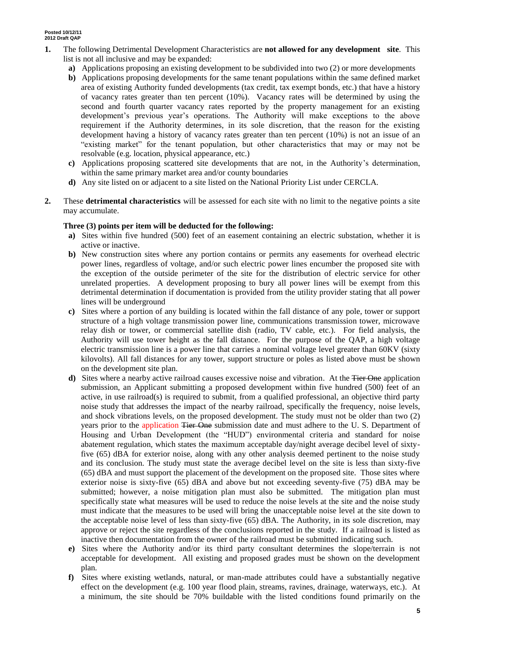- **1.** The following Detrimental Development Characteristics are **not allowed for any development site**. This list is not all inclusive and may be expanded:
	- **a)** Applications proposing an existing development to be subdivided into two (2) or more developments
	- **b)** Applications proposing developments for the same tenant populations within the same defined market area of existing Authority funded developments (tax credit, tax exempt bonds, etc.) that have a history of vacancy rates greater than ten percent (10%). Vacancy rates will be determined by using the second and fourth quarter vacancy rates reported by the property management for an existing development's previous year's operations. The Authority will make exceptions to the above requirement if the Authority determines, in its sole discretion, that the reason for the existing development having a history of vacancy rates greater than ten percent (10%) is not an issue of an "existing market" for the tenant population, but other characteristics that may or may not be resolvable (e.g. location, physical appearance, etc.)
	- **c)** Applications proposing scattered site developments that are not, in the Authority's determination, within the same primary market area and/or county boundaries
	- **d)** Any site listed on or adjacent to a site listed on the National Priority List under CERCLA.
- **2.** These **detrimental characteristics** will be assessed for each site with no limit to the negative points a site may accumulate.

#### **Three (3) points per item will be deducted for the following:**

- **a)** Sites within five hundred (500) feet of an easement containing an electric substation, whether it is active or inactive.
- **b)** New construction sites where any portion contains or permits any easements for overhead electric power lines, regardless of voltage, and/or such electric power lines encumber the proposed site with the exception of the outside perimeter of the site for the distribution of electric service for other unrelated properties. A development proposing to bury all power lines will be exempt from this detrimental determination if documentation is provided from the utility provider stating that all power lines will be underground
- **c)** Sites where a portion of any building is located within the fall distance of any pole, tower or support structure of a high voltage transmission power line, communications transmission tower, microwave relay dish or tower, or commercial satellite dish (radio, TV cable, etc.). For field analysis, the Authority will use tower height as the fall distance. For the purpose of the QAP, a high voltage electric transmission line is a power line that carries a nominal voltage level greater than 60KV (sixty kilovolts). All fall distances for any tower, support structure or poles as listed above must be shown on the development site plan.
- **d**) Sites where a nearby active railroad causes excessive noise and vibration. At the Tier One application submission, an Applicant submitting a proposed development within five hundred (500) feet of an active, in use railroad(s) is required to submit, from a qualified professional, an objective third party noise study that addresses the impact of the nearby railroad, specifically the frequency, noise levels, and shock vibrations levels, on the proposed development. The study must not be older than two (2) years prior to the application Tier One submission date and must adhere to the U.S. Department of Housing and Urban Development (the "HUD") environmental criteria and standard for noise abatement regulation, which states the maximum acceptable day/night average decibel level of sixtyfive (65) dBA for exterior noise, along with any other analysis deemed pertinent to the noise study and its conclusion. The study must state the average decibel level on the site is less than sixty-five (65) dBA and must support the placement of the development on the proposed site. Those sites where exterior noise is sixty-five (65) dBA and above but not exceeding seventy-five (75) dBA may be submitted; however, a noise mitigation plan must also be submitted. The mitigation plan must specifically state what measures will be used to reduce the noise levels at the site and the noise study must indicate that the measures to be used will bring the unacceptable noise level at the site down to the acceptable noise level of less than sixty-five (65) dBA. The Authority, in its sole discretion, may approve or reject the site regardless of the conclusions reported in the study. If a railroad is listed as inactive then documentation from the owner of the railroad must be submitted indicating such.
- **e)** Sites where the Authority and/or its third party consultant determines the slope/terrain is not acceptable for development. All existing and proposed grades must be shown on the development plan.
- **f)** Sites where existing wetlands, natural, or man-made attributes could have a substantially negative effect on the development (e.g. 100 year flood plain, streams, ravines, drainage, waterways, etc.). At a minimum, the site should be 70% buildable with the listed conditions found primarily on the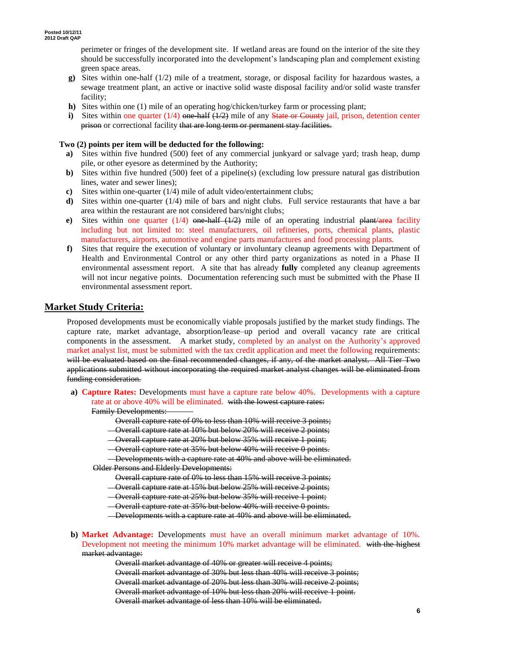perimeter or fringes of the development site. If wetland areas are found on the interior of the site they should be successfully incorporated into the development's landscaping plan and complement existing green space areas.

- **g)** Sites within one-half (1/2) mile of a treatment, storage, or disposal facility for hazardous wastes, a sewage treatment plant, an active or inactive solid waste disposal facility and/or solid waste transfer facility;
- **h)** Sites within one (1) mile of an operating hog/chicken/turkey farm or processing plant;
- **i)** Sites within one quarter  $(1/4)$  one half  $(1/2)$  mile of any State or County jail, prison, detention center prison or correctional facility that are long term or permanent stay facilities.

#### **Two (2) points per item will be deducted for the following:**

- **a)** Sites within five hundred (500) feet of any commercial junkyard or salvage yard; trash heap, dump pile, or other eyesore as determined by the Authority;
- **b)** Sites within five hundred (500) feet of a pipeline(s) (excluding low pressure natural gas distribution lines, water and sewer lines);
- **c)** Sites within one-quarter (1/4) mile of adult video/entertainment clubs;
- **d**) Sites within one-quarter (1/4) mile of bars and night clubs. Full service restaurants that have a bar area within the restaurant are not considered bars/night clubs;
- **e)** Sites within one quarter  $(1/4)$  one half  $(1/2)$  mile of an operating industrial plant/area facility including but not limited to: steel manufacturers, oil refineries, ports, chemical plants, plastic manufacturers, airports, automotive and engine parts manufactures and food processing plants.
- **f)** Sites that require the execution of voluntary or involuntary cleanup agreements with Department of Health and Environmental Control or any other third party organizations as noted in a Phase II environmental assessment report. A site that has already **fully** completed any cleanup agreements will not incur negative points. Documentation referencing such must be submitted with the Phase II environmental assessment report.

#### **Market Study Criteria:**

Proposed developments must be economically viable proposals justified by the market study findings. The capture rate, market advantage, absorption/lease–up period and overall vacancy rate are critical components in the assessment. A market study, completed by an analyst on the Authority's approved market analyst list, must be submitted with the tax credit application and meet the following requirements: will be evaluated based on the final recommended changes, if any, of the market analyst. All Tier Two applications submitted without incorporating the required market analyst changes will be eliminated from funding consideration.

**a) Capture Rates:** Developments must have a capture rate below 40%. Developments with a capture rate at or above 40% will be eliminated. with the lowest capture rates:

Family Developments:

- Overall capture rate of 0% to less than 10% will receive 3 points;
- Overall capture rate at 10% but below 20% will receive 2 points;
- Overall capture rate at 20% but below 35% will receive 1 point;
- Overall capture rate at 35% but below 40% will receive 0 points.

Developments with a capture rate at 40% and above will be eliminated. Older Persons and Elderly Developments:

- Overall capture rate of 0% to less than 15% will receive 3 points;
- Overall capture rate at 15% but below 25% will receive 2 points;
- Overall capture rate at 25% but below 35% will receive 1 point;
- Overall capture rate at 35% but below 40% will receive 0 points.
- Developments with a capture rate at 40% and above will be eliminated.
- **b) Market Advantage:** Developments must have an overall minimum market advantage of 10%. Development not meeting the minimum 10% market advantage will be eliminated. with the highest market advantage:

Overall market advantage of 40% or greater will receive 4 points; Overall market advantage of 30% but less than 40% will receive 3 points; Overall market advantage of 20% but less than 30% will receive 2 points; Overall market advantage of 10% but less than 20% will receive 1 point. Overall market advantage of less than 10% will be eliminated.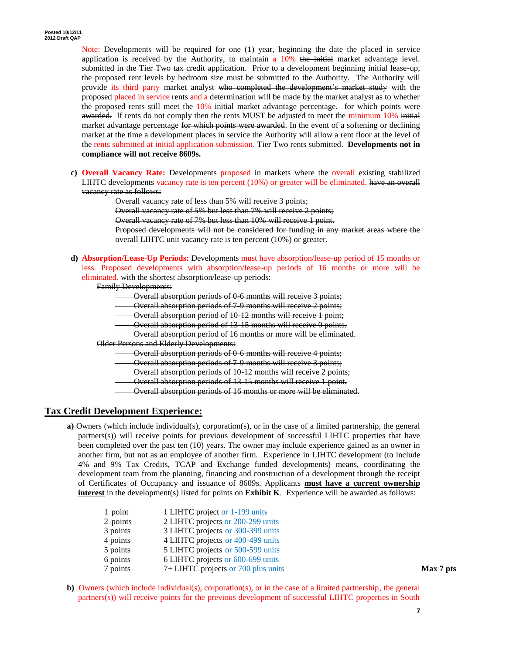Note: Developments will be required for one (1) year, beginning the date the placed in service application is received by the Authority, to maintain a  $10\%$  the initial market advantage level. submitted in the Tier Two tax credit application. Prior to a development beginning initial lease-up, the proposed rent levels by bedroom size must be submitted to the Authority. The Authority will provide its third party market analyst who completed the development's market study with the proposed placed in service rents and a determination will be made by the market analyst as to whether the proposed rents still meet the  $10\%$  initial market advantage percentage. For which points were awarded. If rents do not comply then the rents MUST be adjusted to meet the minimum 10% initial market advantage percentage for which points were awarded. In the event of a softening or declining market at the time a development places in service the Authority will allow a rent floor at the level of the rents submitted at initial application submission. Tier Two rents submitted. **Developments not in compliance will not receive 8609s.** 

**c) Overall Vacancy Rate:** Developments proposed in markets where the overall existing stabilized LIHTC developments vacancy rate is ten percent (10%) or greater will be eliminated. have an overall vacancy rate as follows:

> Overall vacancy rate of less than 5% will receive 3 points; Overall vacancy rate of 5% but less than 7% will receive 2 points; Overall vacancy rate of 7% but less than 10% will receive 1 point. Proposed developments will not be considered for funding in any market areas where the overall LIHTC unit vacancy rate is ten percent (10%) or greater.

**d) Absorption/Lease-Up Periods:** Developments must have absorption/lease-up period of 15 months or less. Proposed developments with absorption/lease-up periods of 16 months or more will be eliminated. with the shortest absorption/lease up periods:

Family Developments:

- Overall absorption periods of 0-6 months will receive 3 points;
- Overall absorption periods of 7-9 months will receive 2 points;
- Overall absorption period of 10-12 months will receive 1 point;
- Overall absorption period of 13-15 months will receive 0 points.
- Overall absorption period of 16 months or more will be eliminated.

Older Persons and Elderly Developments:

- Overall absorption periods of 0-6 months will receive 4 points;
- Overall absorption periods of 7-9 months will receive 3 points;
- Overall absorption periods of 10-12 months will receive 2 points;
- Overall absorption periods of 13-15 months will receive 1 point.
- Overall absorption periods of 16 months or more will be eliminated.

### **Tax Credit Development Experience:**

**a)** Owners (which include individual(s), corporation(s), or in the case of a limited partnership, the general partners(s)) will receive points for previous development of successful LIHTC properties that have been completed over the past ten (10) years. The owner may include experience gained as an owner in another firm, but not as an employee of another firm. Experience in LIHTC development (to include 4% and 9% Tax Credits, TCAP and Exchange funded developments) means, coordinating the development team from the planning, financing and construction of a development through the receipt of Certificates of Occupancy and issuance of 8609s. Applicants **must have a current ownership interest** in the development(s) listed for points on **Exhibit K**. Experience will be awarded as follows:

| 1 point  | 1 LIHTC project or 1-199 units      |           |
|----------|-------------------------------------|-----------|
| 2 points | 2 LIHTC projects or 200-299 units   |           |
| 3 points | 3 LIHTC projects or 300-399 units   |           |
| 4 points | 4 LIHTC projects or 400-499 units   |           |
| 5 points | 5 LIHTC projects or 500-599 units   |           |
| 6 points | 6 LIHTC projects or 600-699 units   |           |
| 7 points | 7+ LIHTC projects or 700 plus units | Max 7 pts |

**b**) Owners (which include individual(s), corporation(s), or in the case of a limited partnership, the general partners(s)) will receive points for the previous development of successful LIHTC properties in South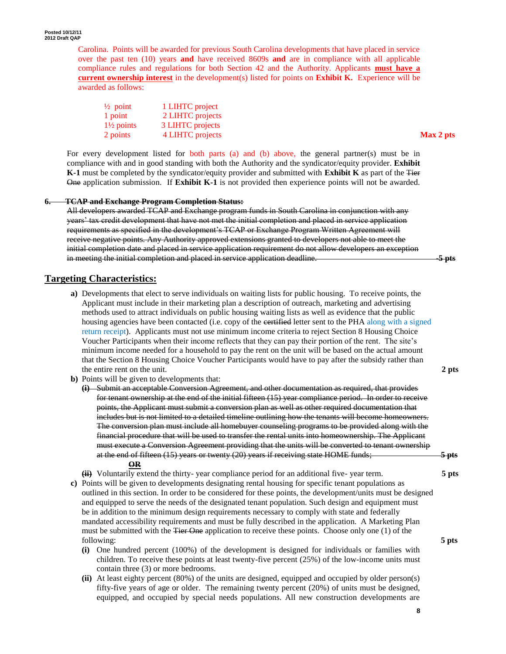Carolina. Points will be awarded for previous South Carolina developments that have placed in service over the past ten (10) years **and** have received 8609s **and** are in compliance with all applicable compliance rules and regulations for both Section 42 and the Authority. Applicants **must have a current ownership interest** in the development(s) listed for points on **Exhibit K.** Experience will be awarded as follows:

| $\frac{1}{2}$ point   | 1 LIHTC project  |           |
|-----------------------|------------------|-----------|
| $1$ point             | 2 LIHTC projects |           |
| $1\frac{1}{2}$ points | 3 LIHTC projects |           |
| 2 points              | 4 LIHTC projects | Max 2 pts |

For every development listed for both parts (a) and (b) above, the general partner(s) must be in compliance with and in good standing with both the Authority and the syndicator/equity provider. **Exhibit K-1** must be completed by the syndicator/equity provider and submitted with **Exhibit K** as part of the Tier One application submission. If **Exhibit K-1** is not provided then experience points will not be awarded.

#### **6. TCAP and Exchange Program Completion Status:**

All developers awarded TCAP and Exchange program funds in South Carolina in conjunction with any years' tax credit development that have not met the initial completion and placed in service application requirements as specified in the development's TCAP or Exchange Program Written Agreement will receive negative points. Any Authority approved extensions granted to developers not able to meet the initial completion date and placed in service application requirement do not allow developers an exception in meeting the initial completion and placed in service application deadline. -**5 pts**

### **Targeting Characteristics:**

- **a)** Developments that elect to serve individuals on waiting lists for public housing. To receive points, the Applicant must include in their marketing plan a description of outreach, marketing and advertising methods used to attract individuals on public housing waiting lists as well as evidence that the public housing agencies have been contacted (i.e. copy of the eertified letter sent to the PHA along with a signed return receipt). Applicants must not use minimum income criteria to reject Section 8 Housing Choice Voucher Participants when their income reflects that they can pay their portion of the rent. The site's minimum income needed for a household to pay the rent on the unit will be based on the actual amount that the Section 8 Housing Choice Voucher Participants would have to pay after the subsidy rather than the entire rent on the unit. **2 pts**
- **b)** Points will be given to developments that:
	- **(i)** Submit an acceptable Conversion Agreement, and other documentation as required, that provides for tenant ownership at the end of the initial fifteen (15) year compliance period. In order to receive points, the Applicant must submit a conversion plan as well as other required documentation that includes but is not limited to a detailed timeline outlining how the tenants will become homeowners. The conversion plan must include all homebuyer counseling programs to be provided along with the financial procedure that will be used to transfer the rental units into homeownership. The Applicant must execute a Conversion Agreement providing that the units will be converted to tenant ownership at the end of fifteen (15) years or twenty (20) years if receiving state HOME funds; **5 pts OR**

**(ii)** Voluntarily extend the thirty- year compliance period for an additional five- year term. **5 pts**

- **c)** Points will be given to developments designating rental housing for specific tenant populations as outlined in this section. In order to be considered for these points, the development/units must be designed and equipped to serve the needs of the designated tenant population. Such design and equipment must be in addition to the minimum design requirements necessary to comply with state and federally mandated accessibility requirements and must be fully described in the application. A Marketing Plan must be submitted with the Tier One application to receive these points. Choose only one (1) of the following: **5 pts**
	- **(i)** One hundred percent (100%) of the development is designed for individuals or families with children. To receive these points at least twenty-five percent (25%) of the low-income units must contain three (3) or more bedrooms.
	- **(ii)** At least eighty percent (80%) of the units are designed, equipped and occupied by older person(s) fifty-five years of age or older. The remaining twenty percent (20%) of units must be designed, equipped, and occupied by special needs populations. All new construction developments are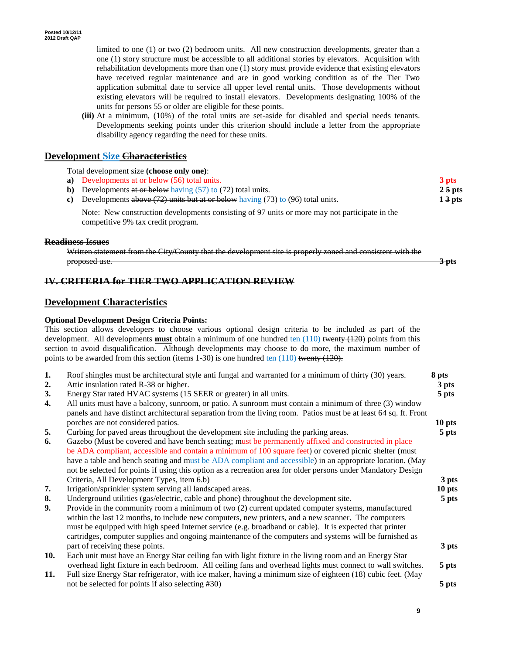limited to one (1) or two (2) bedroom units*.* All new construction developments, greater than a one (1) story structure must be accessible to all additional stories by elevators. Acquisition with rehabilitation developments more than one (1) story must provide evidence that existing elevators have received regular maintenance and are in good working condition as of the Tier Two application submittal date to service all upper level rental units. Those developments without existing elevators will be required to install elevators. Developments designating 100% of the units for persons 55 or older are eligible for these points.

**(iii)** At a minimum, (10%) of the total units are set-aside for disabled and special needs tenants. Developments seeking points under this criterion should include a letter from the appropriate disability agency regarding the need for these units.

#### **Development Size Characteristics**

Total development size **(choose only one)**:

**a)** Developments at or below (56) total units. **3 pts b**) Developments at or below having (57) to (72) total units. **2.5 pts c)** Developments above (72) units but at or below having (73) to (96) total units. **1 3 pts**

Note: New construction developments consisting of 97 units or more may not participate in the competitive 9% tax credit program.

#### **Readiness Issues**

Written statement from the City/County that the development site is properly zoned and consistent with the proposed use. **3 pts**

### **IV. CRITERIA for TIER TWO APPLICATION REVIEW**

#### **Development Characteristics**

#### **Optional Development Design Criteria Points:**

This section allows developers to choose various optional design criteria to be included as part of the development. All developments **must** obtain a minimum of one hundred ten (110) twenty (120) points from this section to avoid disqualification. Although developments may choose to do more, the maximum number of points to be awarded from this section (items 1-30) is one hundred ten  $(110)$  twenty  $(120)$ .

| 1.  | Roof shingles must be architectural style anti fungal and warranted for a minimum of thirty (30) years.                                                                                                                                                                                                                                                                                                                                      | 8 pts  |
|-----|----------------------------------------------------------------------------------------------------------------------------------------------------------------------------------------------------------------------------------------------------------------------------------------------------------------------------------------------------------------------------------------------------------------------------------------------|--------|
| 2.  | Attic insulation rated R-38 or higher.                                                                                                                                                                                                                                                                                                                                                                                                       | 3 pts  |
| 3.  | Energy Star rated HVAC systems (15 SEER or greater) in all units.                                                                                                                                                                                                                                                                                                                                                                            | 5 pts  |
| 4.  | All units must have a balcony, sunroom, or patio. A sunroom must contain a minimum of three (3) window<br>panels and have distinct architectural separation from the living room. Patios must be at least 64 sq. ft. Front                                                                                                                                                                                                                   |        |
|     | porches are not considered patios.                                                                                                                                                                                                                                                                                                                                                                                                           | 10 pts |
| 5.  | Curbing for paved areas throughout the development site including the parking areas.                                                                                                                                                                                                                                                                                                                                                         | 5 pts  |
| 6.  | Gazebo (Must be covered and have bench seating; must be permanently affixed and constructed in place<br>be ADA compliant, accessible and contain a minimum of 100 square feet) or covered picnic shelter (must<br>have a table and bench seating and must be ADA compliant and accessible) in an appropriate location. (May<br>not be selected for points if using this option as a recreation area for older persons under Mandatory Design |        |
|     | Criteria, All Development Types, item 6.b)                                                                                                                                                                                                                                                                                                                                                                                                   | 3 pts  |
| 7.  | Irrigation/sprinkler system serving all landscaped areas.                                                                                                                                                                                                                                                                                                                                                                                    | 10 pts |
| 8.  | Underground utilities (gas/electric, cable and phone) throughout the development site.                                                                                                                                                                                                                                                                                                                                                       | 5 pts  |
| 9.  | Provide in the community room a minimum of two (2) current updated computer systems, manufactured<br>within the last 12 months, to include new computers, new printers, and a new scanner. The computers<br>must be equipped with high speed Internet service (e.g. broadband or cable). It is expected that printer<br>cartridges, computer supplies and ongoing maintenance of the computers and systems will be furnished as              |        |
|     | part of receiving these points.                                                                                                                                                                                                                                                                                                                                                                                                              | 3 pts  |
| 10. | Each unit must have an Energy Star ceiling fan with light fixture in the living room and an Energy Star                                                                                                                                                                                                                                                                                                                                      |        |
| 11. | overhead light fixture in each bedroom. All ceiling fans and overhead lights must connect to wall switches.<br>Full size Energy Star refrigerator, with ice maker, having a minimum size of eighteen (18) cubic feet. (May                                                                                                                                                                                                                   | 5 pts  |
|     | not be selected for points if also selecting #30)                                                                                                                                                                                                                                                                                                                                                                                            | 5 pts  |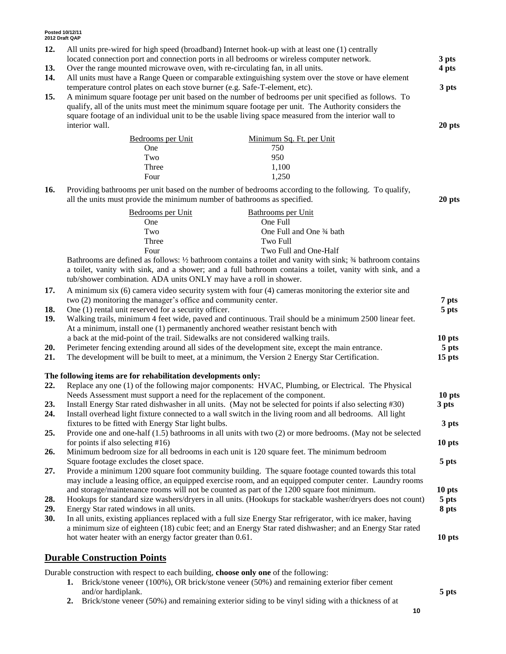| 12. | All units pre-wired for high speed (broadband) Internet hook-up with at least one (1) centrally<br>3 pts                                                                           |                                                                                                               |        |  |  |  |
|-----|------------------------------------------------------------------------------------------------------------------------------------------------------------------------------------|---------------------------------------------------------------------------------------------------------------|--------|--|--|--|
|     | located connection port and connection ports in all bedrooms or wireless computer network.                                                                                         |                                                                                                               |        |  |  |  |
| 13. | Over the range mounted microwave oven, with re-circulating fan, in all units.<br>4 pts                                                                                             |                                                                                                               |        |  |  |  |
| 14. | All units must have a Range Queen or comparable extinguishing system over the stove or have element<br>3 pts                                                                       |                                                                                                               |        |  |  |  |
| 15. | temperature control plates on each stove burner (e.g. Safe-T-element, etc).<br>A minimum square footage per unit based on the number of bedrooms per unit specified as follows. To |                                                                                                               |        |  |  |  |
|     |                                                                                                                                                                                    | qualify, all of the units must meet the minimum square footage per unit. The Authority considers the          |        |  |  |  |
|     |                                                                                                                                                                                    | square footage of an individual unit to be the usable living space measured from the interior wall to         |        |  |  |  |
|     | interior wall.                                                                                                                                                                     |                                                                                                               | 20 pts |  |  |  |
|     |                                                                                                                                                                                    |                                                                                                               |        |  |  |  |
|     | Bedrooms per Unit                                                                                                                                                                  | Minimum Sq. Ft. per Unit                                                                                      |        |  |  |  |
|     | One<br>Two                                                                                                                                                                         | 750<br>950                                                                                                    |        |  |  |  |
|     | Three                                                                                                                                                                              | 1,100                                                                                                         |        |  |  |  |
|     | Four                                                                                                                                                                               | 1,250                                                                                                         |        |  |  |  |
|     |                                                                                                                                                                                    |                                                                                                               |        |  |  |  |
| 16. | all the units must provide the minimum number of bathrooms as specified.                                                                                                           | Providing bathrooms per unit based on the number of bedrooms according to the following. To qualify,          | 20 pts |  |  |  |
|     | Bedrooms per Unit                                                                                                                                                                  | Bathrooms per Unit                                                                                            |        |  |  |  |
|     | One                                                                                                                                                                                | One Full                                                                                                      |        |  |  |  |
|     | Two                                                                                                                                                                                | One Full and One 3⁄4 bath                                                                                     |        |  |  |  |
|     | Three                                                                                                                                                                              | Two Full                                                                                                      |        |  |  |  |
|     | Four                                                                                                                                                                               | Two Full and One-Half                                                                                         |        |  |  |  |
|     |                                                                                                                                                                                    | Bathrooms are defined as follows: 1/2 bathroom contains a toilet and vanity with sink; 3/4 bathroom contains  |        |  |  |  |
|     |                                                                                                                                                                                    | a toilet, vanity with sink, and a shower; and a full bathroom contains a toilet, vanity with sink, and a      |        |  |  |  |
|     | tub/shower combination. ADA units ONLY may have a roll in shower.                                                                                                                  |                                                                                                               |        |  |  |  |
| 17. |                                                                                                                                                                                    | A minimum six (6) camera video security system with four (4) cameras monitoring the exterior site and         |        |  |  |  |
|     | two (2) monitoring the manager's office and community center.                                                                                                                      |                                                                                                               | 7 pts  |  |  |  |
| 18. | One (1) rental unit reserved for a security officer.                                                                                                                               |                                                                                                               | 5 pts  |  |  |  |
| 19. |                                                                                                                                                                                    | Walking trails, minimum 4 feet wide, paved and continuous. Trail should be a minimum 2500 linear feet.        |        |  |  |  |
|     | At a minimum, install one (1) permanently anchored weather resistant bench with                                                                                                    |                                                                                                               |        |  |  |  |
|     | a back at the mid-point of the trail. Sidewalks are not considered walking trails.                                                                                                 |                                                                                                               | 10 pts |  |  |  |
| 20. |                                                                                                                                                                                    | Perimeter fencing extending around all sides of the development site, except the main entrance.               | 5 pts  |  |  |  |
| 21. |                                                                                                                                                                                    | The development will be built to meet, at a minimum, the Version 2 Energy Star Certification.                 | 15 pts |  |  |  |
|     | The following items are for rehabilitation developments only:                                                                                                                      |                                                                                                               |        |  |  |  |
| 22. |                                                                                                                                                                                    | Replace any one (1) of the following major components: HVAC, Plumbing, or Electrical. The Physical            |        |  |  |  |
|     | Needs Assessment must support a need for the replacement of the component.                                                                                                         |                                                                                                               | 10 pts |  |  |  |
| 23. |                                                                                                                                                                                    | Install Energy Star rated dishwasher in all units. (May not be selected for points if also selecting #30)     | 3 pts  |  |  |  |
| 24. |                                                                                                                                                                                    | Install overhead light fixture connected to a wall switch in the living room and all bedrooms. All light      |        |  |  |  |
|     | fixtures to be fitted with Energy Star light bulbs.                                                                                                                                |                                                                                                               | 3 pts  |  |  |  |
| 25. |                                                                                                                                                                                    | Provide one and one-half $(1.5)$ bathrooms in all units with two $(2)$ or more bedrooms. (May not be selected |        |  |  |  |
|     | for points if also selecting $#16$ )                                                                                                                                               |                                                                                                               | 10 pts |  |  |  |
| 26. |                                                                                                                                                                                    | Minimum bedroom size for all bedrooms in each unit is 120 square feet. The minimum bedroom                    |        |  |  |  |
|     | Square footage excludes the closet space.                                                                                                                                          |                                                                                                               | 5 pts  |  |  |  |
| 27. |                                                                                                                                                                                    | Provide a minimum 1200 square foot community building. The square footage counted towards this total          |        |  |  |  |
|     |                                                                                                                                                                                    | may include a leasing office, an equipped exercise room, and an equipped computer center. Laundry rooms       |        |  |  |  |
|     |                                                                                                                                                                                    | and storage/maintenance rooms will not be counted as part of the 1200 square foot minimum.                    | 10 pts |  |  |  |
| 28. |                                                                                                                                                                                    | Hookups for standard size washers/dryers in all units. (Hookups for stackable washer/dryers does not count)   | 5 pts  |  |  |  |
| 29. | Energy Star rated windows in all units.                                                                                                                                            |                                                                                                               | 8 pts  |  |  |  |
| 30. |                                                                                                                                                                                    | In all units, existing appliances replaced with a full size Energy Star refrigerator, with ice maker, having  |        |  |  |  |
|     |                                                                                                                                                                                    | a minimum size of eighteen (18) cubic feet; and an Energy Star rated dishwasher; and an Energy Star rated     |        |  |  |  |
|     | hot water heater with an energy factor greater than 0.61.                                                                                                                          |                                                                                                               | 10 pts |  |  |  |
|     |                                                                                                                                                                                    |                                                                                                               |        |  |  |  |
|     | <b>Durable Construction Points</b>                                                                                                                                                 |                                                                                                               |        |  |  |  |

Durable construction with respect to each building, **choose only one** of the following:

- **1.** Brick/stone veneer (100%), OR brick/stone veneer (50%) and remaining exterior fiber cement and/or hardiplank. **5 pts**
- **2.** Brick/stone veneer (50%) and remaining exterior siding to be vinyl siding with a thickness of at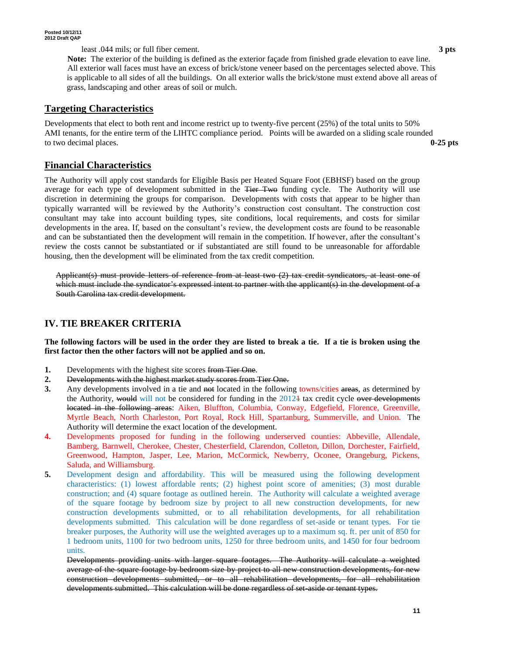least .044 mils; or full fiber cement. **3 pts**

 **Note:** The exterior of the building is defined as the exterior façade from finished grade elevation to eave line. All exterior wall faces must have an excess of brick/stone veneer based on the percentages selected above. This is applicable to all sides of all the buildings. On all exterior walls the brick/stone must extend above all areas of grass, landscaping and other areas of soil or mulch.

### **Targeting Characteristics**

Developments that elect to both rent and income restrict up to twenty-five percent (25%) of the total units to 50% AMI tenants, for the entire term of the LIHTC compliance period. Points will be awarded on a sliding scale rounded to two decimal places. **0-25 pts**

### **Financial Characteristics**

The Authority will apply cost standards for Eligible Basis per Heated Square Foot (EBHSF) based on the group average for each type of development submitted in the <del>Tier Two</del> funding cycle. The Authority will use discretion in determining the groups for comparison. Developments with costs that appear to be higher than typically warranted will be reviewed by the Authority's construction cost consultant. The construction cost consultant may take into account building types, site conditions, local requirements, and costs for similar developments in the area. If, based on the consultant's review, the development costs are found to be reasonable and can be substantiated then the development will remain in the competition. If however, after the consultant's review the costs cannot be substantiated or if substantiated are still found to be unreasonable for affordable housing, then the development will be eliminated from the tax credit competition.

Applicant(s) must provide letters of reference from at least two (2) tax credit syndicators, at least one of which must include the syndicator's expressed intent to partner with the applicant(s) in the development of a South Carolina tax credit development.

# **IV. TIE BREAKER CRITERIA**

**The following factors will be used in the order they are listed to break a tie. If a tie is broken using the first factor then the other factors will not be applied and so on.**

- **1.** Developments with the highest site scores from Tier One.
- **2.** Developments with the highest market study scores from Tier One.
- **3.** Any developments involved in a tie and not located in the following towns/cities areas, as determined by the Authority, would will not be considered for funding in the  $2012<sup>1</sup>$  tax credit cycle over developments located in the following areas: Aiken, Bluffton, Columbia, Conway, Edgefield, Florence, Greenville, Myrtle Beach, North Charleston, Port Royal, Rock Hill, Spartanburg, Summerville, and Union. The Authority will determine the exact location of the development.
- **4.** Developments proposed for funding in the following underserved counties: Abbeville, Allendale, Bamberg, Barnwell, Cherokee, Chester, Chesterfield, Clarendon, Colleton, Dillon, Dorchester, Fairfield, Greenwood, Hampton, Jasper, Lee, Marion, McCormick, Newberry, Oconee, Orangeburg, Pickens, Saluda, and Williamsburg.
- **5.** Development design and affordability. This will be measured using the following development characteristics: (1) lowest affordable rents; (2) highest point score of amenities; (3) most durable construction; and (4) square footage as outlined herein. The Authority will calculate a weighted average of the square footage by bedroom size by project to all new construction developments, for new construction developments submitted, or to all rehabilitation developments, for all rehabilitation developments submitted. This calculation will be done regardless of set-aside or tenant types. For tie breaker purposes, the Authority will use the weighted averages up to a maximum sq. ft. per unit of 850 for 1 bedroom units, 1100 for two bedroom units, 1250 for three bedroom units, and 1450 for four bedroom units.

Developments providing units with larger square footages. The Authority will calculate a weighted average of the square footage by bedroom size by project to all new construction developments, for new construction developments submitted, or to all rehabilitation developments, for all rehabilitation developments submitted. This calculation will be done regardless of set aside or tenant types.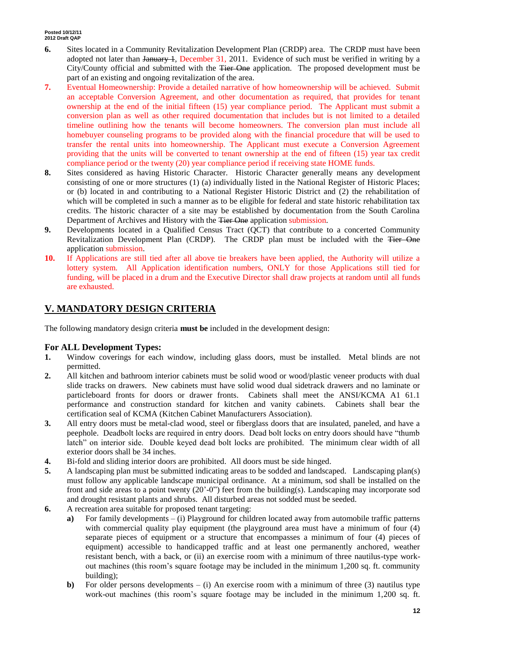- **6.** Sites located in a Community Revitalization Development Plan (CRDP) area. The CRDP must have been adopted not later than January 1, December 31, 2011. Evidence of such must be verified in writing by a City/County official and submitted with the Tier One application. The proposed development must be part of an existing and ongoing revitalization of the area.
- **7.** Eventual Homeownership: Provide a detailed narrative of how homeownership will be achieved. Submit an acceptable Conversion Agreement, and other documentation as required, that provides for tenant ownership at the end of the initial fifteen (15) year compliance period. The Applicant must submit a conversion plan as well as other required documentation that includes but is not limited to a detailed timeline outlining how the tenants will become homeowners. The conversion plan must include all homebuyer counseling programs to be provided along with the financial procedure that will be used to transfer the rental units into homeownership. The Applicant must execute a Conversion Agreement providing that the units will be converted to tenant ownership at the end of fifteen (15) year tax credit compliance period or the twenty (20) year compliance period if receiving state HOME funds.
- **8.** Sites considered as having Historic Character. Historic Character generally means any development consisting of one or more structures (1) (a) individually listed in the National Register of Historic Places; or (b) located in and contributing to a National Register Historic District and (2) the rehabilitation of which will be completed in such a manner as to be eligible for federal and state historic rehabilitation tax credits. The historic character of a site may be established by documentation from the South Carolina Department of Archives and History with the Tier One application submission.
- **9.** Developments located in a Qualified Census Tract (QCT) that contribute to a concerted Community Revitalization Development Plan (CRDP). The CRDP plan must be included with the Tier One application submission.
- **10.** If Applications are still tied after all above tie breakers have been applied, the Authority will utilize a lottery system. All Application identification numbers, ONLY for those Applications still tied for funding, will be placed in a drum and the Executive Director shall draw projects at random until all funds are exhausted.

## **V. MANDATORY DESIGN CRITERIA**

The following mandatory design criteria **must be** included in the development design:

### **For ALL Development Types:**

- **1.** Window coverings for each window, including glass doors, must be installed. Metal blinds are not permitted.
- **2.** All kitchen and bathroom interior cabinets must be solid wood or wood/plastic veneer products with dual slide tracks on drawers. New cabinets must have solid wood dual sidetrack drawers and no laminate or particleboard fronts for doors or drawer fronts. Cabinets shall meet the ANSI/KCMA A1 61.1 performance and construction standard for kitchen and vanity cabinets. Cabinets shall bear the certification seal of KCMA (Kitchen Cabinet Manufacturers Association).
- **3.** All entry doors must be metal-clad wood, steel or fiberglass doors that are insulated, paneled, and have a peephole. Deadbolt locks are required in entry doors. Dead bolt locks on entry doors should have "thumb latch" on interior side. Double keyed dead bolt locks are prohibited. The minimum clear width of all exterior doors shall be 34 inches.
- **4.** Bi-fold and sliding interior doors are prohibited. All doors must be side hinged.
- **5.** A landscaping plan must be submitted indicating areas to be sodded and landscaped. Landscaping plan(s) must follow any applicable landscape municipal ordinance. At a minimum, sod shall be installed on the front and side areas to a point twenty (20'-0") feet from the building(s). Landscaping may incorporate sod and drought resistant plants and shrubs. All disturbed areas not sodded must be seeded.
- **6.** A recreation area suitable for proposed tenant targeting:
	- **a)** For family developments (i) Playground for children located away from automobile traffic patterns with commercial quality play equipment (the playground area must have a minimum of four (4) separate pieces of equipment or a structure that encompasses a minimum of four (4) pieces of equipment) accessible to handicapped traffic and at least one permanently anchored, weather resistant bench, with a back, or (ii) an exercise room with a minimum of three nautilus-type workout machines (this room's square footage may be included in the minimum 1,200 sq. ft. community building);
	- **b)** For older persons developments  $-$  (i) An exercise room with a minimum of three (3) nautilus type work-out machines (this room's square footage may be included in the minimum 1,200 sq. ft.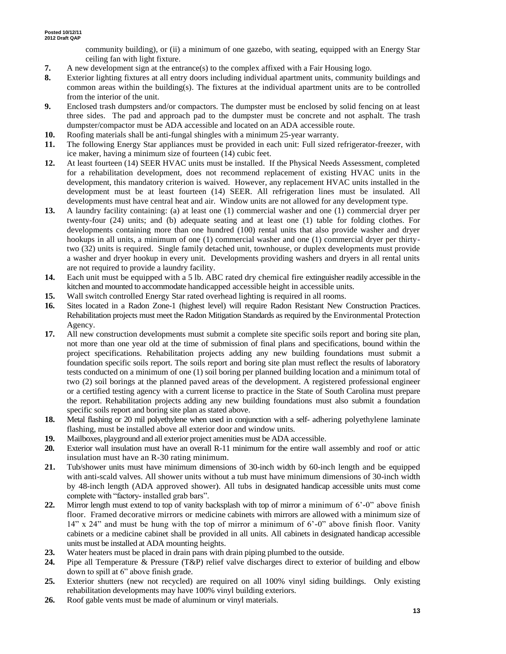community building), or (ii) a minimum of one gazebo, with seating, equipped with an Energy Star ceiling fan with light fixture.

- **7.** A new development sign at the entrance(s) to the complex affixed with a Fair Housing logo.
- **8.** Exterior lighting fixtures at all entry doors including individual apartment units, community buildings and common areas within the building(s). The fixtures at the individual apartment units are to be controlled from the interior of the unit.
- **9.** Enclosed trash dumpsters and/or compactors. The dumpster must be enclosed by solid fencing on at least three sides. The pad and approach pad to the dumpster must be concrete and not asphalt. The trash dumpster/compactor must be ADA accessible and located on an ADA accessible route.
- **10.** Roofing materials shall be anti-fungal shingles with a minimum 25-year warranty.
- **11.** The following Energy Star appliances must be provided in each unit: Full sized refrigerator-freezer, with ice maker, having a minimum size of fourteen (14) cubic feet.
- **12.** At least fourteen (14) SEER HVAC units must be installed. If the Physical Needs Assessment, completed for a rehabilitation development, does not recommend replacement of existing HVAC units in the development, this mandatory criterion is waived. However, any replacement HVAC units installed in the development must be at least fourteen (14) SEER. All refrigeration lines must be insulated. All developments must have central heat and air. Window units are not allowed for any development type.
- **13.** A laundry facility containing: (a) at least one (1) commercial washer and one (1) commercial dryer per twenty-four (24) units; and (b) adequate seating and at least one (1) table for folding clothes. For developments containing more than one hundred (100) rental units that also provide washer and dryer hookups in all units, a minimum of one (1) commercial washer and one (1) commercial dryer per thirtytwo (32) units is required. Single family detached unit, townhouse, or duplex developments must provide a washer and dryer hookup in every unit. Developments providing washers and dryers in all rental units are not required to provide a laundry facility.
- **14.** Each unit must be equipped with a 5 lb. ABC rated dry chemical fire extinguisher readily accessible in the kitchen and mounted to accommodate handicapped accessible height in accessible units.
- **15.** Wall switch controlled Energy Star rated overhead lighting is required in all rooms.
- **16.** Sites located in a Radon Zone-1 (highest level) will require Radon Resistant New Construction Practices. Rehabilitation projects must meet the Radon Mitigation Standards as required by the Environmental Protection Agency.
- **17.** All new construction developments must submit a complete site specific soils report and boring site plan, not more than one year old at the time of submission of final plans and specifications, bound within the project specifications. Rehabilitation projects adding any new building foundations must submit a foundation specific soils report. The soils report and boring site plan must reflect the results of laboratory tests conducted on a minimum of one (1) soil boring per planned building location and a minimum total of two (2) soil borings at the planned paved areas of the development. A registered professional engineer or a certified testing agency with a current license to practice in the State of South Carolina must prepare the report. Rehabilitation projects adding any new building foundations must also submit a foundation specific soils report and boring site plan as stated above.
- **18.** Metal flashing or 20 mil polyethylene when used in conjunction with a self- adhering polyethylene laminate flashing, must be installed above all exterior door and window units.
- **19.** Mailboxes, playground and all exterior project amenities must be ADA accessible.
- **20.** Exterior wall insulation must have an overall R-11 minimum for the entire wall assembly and roof or attic insulation must have an R-30 rating minimum.
- **21.** Tub/shower units must have minimum dimensions of 30-inch width by 60-inch length and be equipped with anti-scald valves. All shower units without a tub must have minimum dimensions of 30-inch width by 48-inch length (ADA approved shower). All tubs in designated handicap accessible units must come complete with "factory- installed grab bars".
- **22.** Mirror length must extend to top of vanity backsplash with top of mirror a minimum of 6'-0" above finish floor. Framed decorative mirrors or medicine cabinets with mirrors are allowed with a minimum size of  $14$ " x 24" and must be hung with the top of mirror a minimum of 6'-0" above finish floor. Vanity cabinets or a medicine cabinet shall be provided in all units. All cabinets in designated handicap accessible units must be installed at ADA mounting heights.
- **23.** Water heaters must be placed in drain pans with drain piping plumbed to the outside.
- **24.** Pipe all Temperature & Pressure (T&P) relief valve discharges direct to exterior of building and elbow down to spill at 6" above finish grade.
- **25.** Exterior shutters (new not recycled) are required on all 100% vinyl siding buildings. Only existing rehabilitation developments may have 100% vinyl building exteriors.
- **26.** Roof gable vents must be made of aluminum or vinyl materials.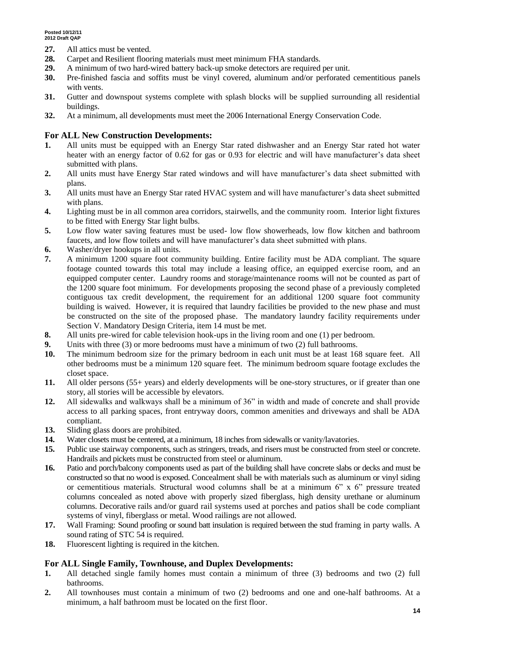- **27.** All attics must be vented.
- **28.** Carpet and Resilient flooring materials must meet minimum FHA standards.
- **29.** A minimum of two hard-wired battery back-up smoke detectors are required per unit.
- **30.** Pre-finished fascia and soffits must be vinyl covered, aluminum and/or perforated cementitious panels with vents.
- **31.** Gutter and downspout systems complete with splash blocks will be supplied surrounding all residential buildings.
- **32.** At a minimum, all developments must meet the 2006 International Energy Conservation Code.

#### **For ALL New Construction Developments:**

- **1.** All units must be equipped with an Energy Star rated dishwasher and an Energy Star rated hot water heater with an energy factor of 0.62 for gas or 0.93 for electric and will have manufacturer's data sheet submitted with plans.
- **2.** All units must have Energy Star rated windows and will have manufacturer's data sheet submitted with plans.
- **3.** All units must have an Energy Star rated HVAC system and will have manufacturer's data sheet submitted with plans.
- **4.** Lighting must be in all common area corridors, stairwells, and the community room. Interior light fixtures to be fitted with Energy Star light bulbs.
- **5.** Low flow water saving features must be used- low flow showerheads, low flow kitchen and bathroom faucets, and low flow toilets and will have manufacturer's data sheet submitted with plans.
- **6.** Washer/dryer hookups in all units.
- **7.** A minimum 1200 square foot community building. Entire facility must be ADA compliant. The square footage counted towards this total may include a leasing office, an equipped exercise room, and an equipped computer center. Laundry rooms and storage/maintenance rooms will not be counted as part of the 1200 square foot minimum. For developments proposing the second phase of a previously completed contiguous tax credit development, the requirement for an additional 1200 square foot community building is waived. However, it is required that laundry facilities be provided to the new phase and must be constructed on the site of the proposed phase. The mandatory laundry facility requirements under Section V. Mandatory Design Criteria, item 14 must be met.
- **8.** All units pre-wired for cable television hook-ups in the living room and one (1) per bedroom.
- **9.** Units with three (3) or more bedrooms must have a minimum of two (2) full bathrooms.
- **10.** The minimum bedroom size for the primary bedroom in each unit must be at least 168 square feet. All other bedrooms must be a minimum 120 square feet. The minimum bedroom square footage excludes the closet space.
- **11.** All older persons (55+ years) and elderly developments will be one-story structures, or if greater than one story, all stories will be accessible by elevators.
- **12.** All sidewalks and walkways shall be a minimum of 36" in width and made of concrete and shall provide access to all parking spaces, front entryway doors, common amenities and driveways and shall be ADA compliant.
- **13.** Sliding glass doors are prohibited.
- **14.** Water closets must be centered, at a minimum, 18 inches from sidewalls or vanity/lavatories.
- **15.** Public use stairway components, such as stringers, treads, and risers must be constructed from steel or concrete. Handrails and pickets must be constructed from steel or aluminum.
- **16.** Patio and porch/balcony components used as part of the building shall have concrete slabs or decks and must be constructed so that no wood is exposed. Concealment shall be with materials such as aluminum or vinyl siding or cementitious materials. Structural wood columns shall be at a minimum  $6"$  x  $6"$  pressure treated columns concealed as noted above with properly sized fiberglass, high density urethane or aluminum columns. Decorative rails and/or guard rail systems used at porches and patios shall be code compliant systems of vinyl, fiberglass or metal. Wood railings are not allowed.
- **17.** Wall Framing: Sound proofing or sound batt insulation is required between the stud framing in party walls. A sound rating of STC 54 is required.
- **18.** Fluorescent lighting is required in the kitchen.

### **For ALL Single Family, Townhouse, and Duplex Developments:**

- **1.** All detached single family homes must contain a minimum of three (3) bedrooms and two (2) full bathrooms.
- **2.** All townhouses must contain a minimum of two (2) bedrooms and one and one-half bathrooms. At a minimum, a half bathroom must be located on the first floor.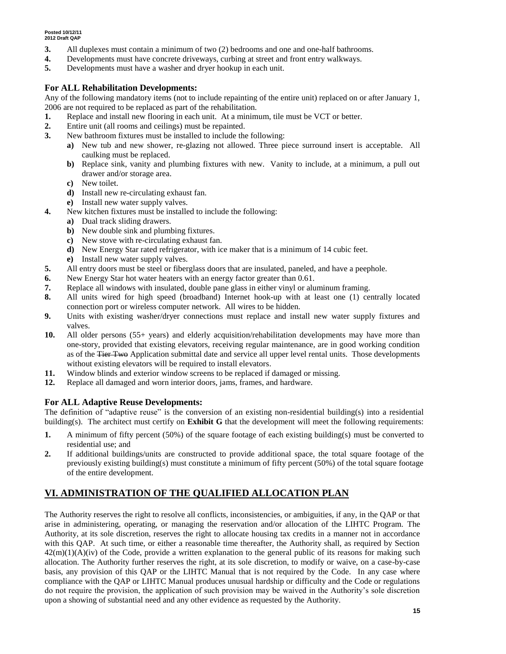- **3.** All duplexes must contain a minimum of two (2) bedrooms and one and one-half bathrooms.
- **4.** Developments must have concrete driveways, curbing at street and front entry walkways.
- **5.** Developments must have a washer and dryer hookup in each unit.

### **For ALL Rehabilitation Developments:**

Any of the following mandatory items (not to include repainting of the entire unit) replaced on or after January 1, 2006 are not required to be replaced as part of the rehabilitation.

- **1.** Replace and install new flooring in each unit. At a minimum, tile must be VCT or better.
- **2.** Entire unit (all rooms and ceilings) must be repainted.
- **3.** New bathroom fixtures must be installed to include the following:
	- **a)** New tub and new shower, re-glazing not allowed. Three piece surround insert is acceptable. All caulking must be replaced.
	- **b)** Replace sink, vanity and plumbing fixtures with new. Vanity to include, at a minimum, a pull out drawer and/or storage area.
	- **c)** New toilet.
	- **d)** Install new re-circulating exhaust fan.
	- **e)** Install new water supply valves.
- **4.** New kitchen fixtures must be installed to include the following:
	- **a)** Dual track sliding drawers.
	- **b)** New double sink and plumbing fixtures.
	- **c)** New stove with re-circulating exhaust fan.
	- **d)** New Energy Star rated refrigerator, with ice maker that is a minimum of 14 cubic feet.
	- **e)** Install new water supply valves.
- **5.** All entry doors must be steel or fiberglass doors that are insulated, paneled, and have a peephole.
- **6.** New Energy Star hot water heaters with an energy factor greater than 0.61.
- **7.** Replace all windows with insulated, double pane glass in either vinyl or aluminum framing.
- **8.** All units wired for high speed (broadband) Internet hook-up with at least one (1) centrally located connection port or wireless computer network. All wires to be hidden.
- **9.** Units with existing washer/dryer connections must replace and install new water supply fixtures and valves.
- **10.** All older persons (55+ years) and elderly acquisition/rehabilitation developments may have more than one-story, provided that existing elevators, receiving regular maintenance, are in good working condition as of the <del>Tier Two</del> Application submittal date and service all upper level rental units. Those developments without existing elevators will be required to install elevators.
- **11.** Window blinds and exterior window screens to be replaced if damaged or missing.
- **12.** Replace all damaged and worn interior doors, jams, frames, and hardware.

### **For ALL Adaptive Reuse Developments:**

The definition of "adaptive reuse" is the conversion of an existing non-residential building(s) into a residential building(s). The architect must certify on **Exhibit G** that the development will meet the following requirements:

- **1.** A minimum of fifty percent (50%) of the square footage of each existing building(s) must be converted to residential use; and
- **2.** If additional buildings/units are constructed to provide additional space, the total square footage of the previously existing building(s) must constitute a minimum of fifty percent (50%) of the total square footage of the entire development.

# **VI. ADMINISTRATION OF THE QUALIFIED ALLOCATION PLAN**

The Authority reserves the right to resolve all conflicts, inconsistencies, or ambiguities, if any, in the QAP or that arise in administering, operating, or managing the reservation and/or allocation of the LIHTC Program. The Authority, at its sole discretion, reserves the right to allocate housing tax credits in a manner not in accordance with this OAP. At such time, or either a reasonable time thereafter, the Authority shall, as required by Section  $42(m)(1)(A)(iv)$  of the Code, provide a written explanation to the general public of its reasons for making such allocation. The Authority further reserves the right, at its sole discretion, to modify or waive, on a case-by-case basis, any provision of this QAP or the LIHTC Manual that is not required by the Code. In any case where compliance with the QAP or LIHTC Manual produces unusual hardship or difficulty and the Code or regulations do not require the provision, the application of such provision may be waived in the Authority's sole discretion upon a showing of substantial need and any other evidence as requested by the Authority.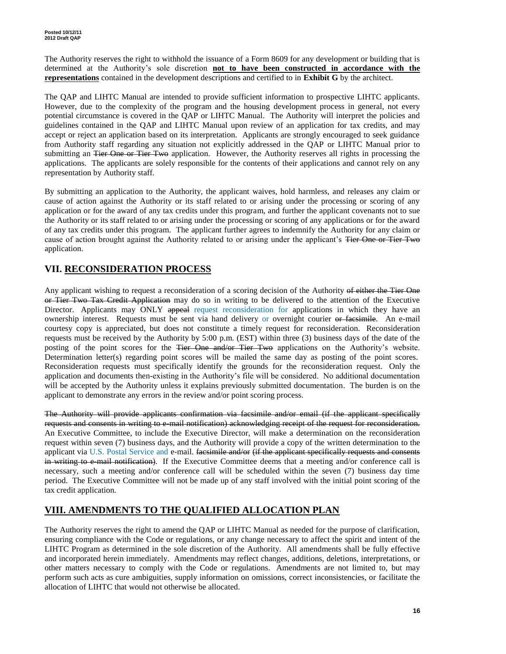The Authority reserves the right to withhold the issuance of a Form 8609 for any development or building that is determined at the Authority's sole discretion **not to have been constructed in accordance with the representations** contained in the development descriptions and certified to in **Exhibit G** by the architect.

The QAP and LIHTC Manual are intended to provide sufficient information to prospective LIHTC applicants. However, due to the complexity of the program and the housing development process in general, not every potential circumstance is covered in the QAP or LIHTC Manual. The Authority will interpret the policies and guidelines contained in the QAP and LIHTC Manual upon review of an application for tax credits, and may accept or reject an application based on its interpretation. Applicants are strongly encouraged to seek guidance from Authority staff regarding any situation not explicitly addressed in the QAP or LIHTC Manual prior to submitting an Tier One or Tier Two application. However, the Authority reserves all rights in processing the applications. The applicants are solely responsible for the contents of their applications and cannot rely on any representation by Authority staff.

By submitting an application to the Authority, the applicant waives, hold harmless, and releases any claim or cause of action against the Authority or its staff related to or arising under the processing or scoring of any application or for the award of any tax credits under this program, and further the applicant covenants not to sue the Authority or its staff related to or arising under the processing or scoring of any applications or for the award of any tax credits under this program. The applicant further agrees to indemnify the Authority for any claim or cause of action brought against the Authority related to or arising under the applicant's Tier One or Tier Two application.

## **VII. RECONSIDERATION PROCESS**

Any applicant wishing to request a reconsideration of a scoring decision of the Authority of either the Tier One or Tier Two Tax Credit Application may do so in writing to be delivered to the attention of the Executive Director. Applicants may ONLY appeal request reconsideration for applications in which they have an ownership interest. Requests must be sent via hand delivery or overnight courier or facsimile. An e-mail courtesy copy is appreciated, but does not constitute a timely request for reconsideration. Reconsideration requests must be received by the Authority by 5:00 p.m. (EST) within three (3) business days of the date of the posting of the point scores for the Tier One and/or Tier Two applications on the Authority's website. Determination letter(s) regarding point scores will be mailed the same day as posting of the point scores. Reconsideration requests must specifically identify the grounds for the reconsideration request. Only the application and documents then-existing in the Authority's file will be considered. No additional documentation will be accepted by the Authority unless it explains previously submitted documentation. The burden is on the applicant to demonstrate any errors in the review and/or point scoring process.

The Authority will provide applicants confirmation via facsimile and/or email (if the applicant specifically requests and consents in writing to e-mail notification) acknowledging receipt of the request for reconsideration. An Executive Committee, to include the Executive Director, will make a determination on the reconsideration request within seven (7) business days, and the Authority will provide a copy of the written determination to the applicant via U.S. Postal Service and e-mail. facsimile and/or (if the applicant specifically requests and consents in writing to e-mail notification). If the Executive Committee deems that a meeting and/or conference call is necessary, such a meeting and/or conference call will be scheduled within the seven (7) business day time period. The Executive Committee will not be made up of any staff involved with the initial point scoring of the tax credit application.

### **VIII. AMENDMENTS TO THE QUALIFIED ALLOCATION PLAN**

The Authority reserves the right to amend the QAP or LIHTC Manual as needed for the purpose of clarification, ensuring compliance with the Code or regulations, or any change necessary to affect the spirit and intent of the LIHTC Program as determined in the sole discretion of the Authority. All amendments shall be fully effective and incorporated herein immediately. Amendments may reflect changes, additions, deletions, interpretations, or other matters necessary to comply with the Code or regulations. Amendments are not limited to, but may perform such acts as cure ambiguities, supply information on omissions, correct inconsistencies, or facilitate the allocation of LIHTC that would not otherwise be allocated.